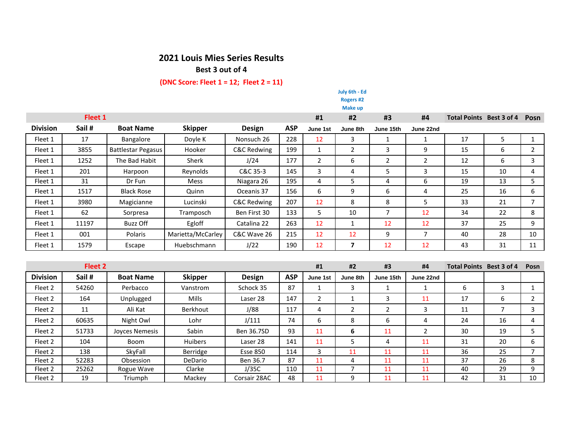## **2021 Louis Mies Series Results**

**Best 3 out of 4**

## **(DNC Score: Fleet 1 = 12; Fleet 2 = 11)**

|                 |        |                           |                   |                        |            |                | July 6th - Ed<br>Rogers #2 |                |                          |                                 |                |                |
|-----------------|--------|---------------------------|-------------------|------------------------|------------|----------------|----------------------------|----------------|--------------------------|---------------------------------|----------------|----------------|
|                 |        |                           |                   |                        |            |                | Make up                    |                |                          |                                 |                |                |
| Fleet 1         |        |                           |                   |                        | #1         | #2             | #3                         | #4             | Total Points Best 3 of 4 |                                 | Posn           |                |
| <b>Division</b> | Sail # | <b>Boat Name</b>          | <b>Skipper</b>    | <b>Design</b>          | <b>ASP</b> | June 1st       | June 8th                   | June 15th      | June 22nd                |                                 |                |                |
| Fleet 1         | 17     | Bangalore                 | Doyle K           | Nonsuch 26             | 228        | 12             | 3                          | $\mathbf{1}$   | $\mathbf{1}$             | 17                              | 5              | $\mathbf{1}$   |
| Fleet 1         | 3855   | <b>Battlestar Pegasus</b> | Hooker            | <b>C&amp;C Redwing</b> | 199        | $\mathbf{1}$   | $\overline{2}$             | 3              | 9                        | 15                              | 6              | $\overline{2}$ |
| Fleet 1         | 1252   | The Bad Habit             | <b>Sherk</b>      | J/24                   | 177        | $\overline{2}$ | 6                          | $\overline{2}$ | $\overline{2}$           | 12                              | 6              | 3              |
| Fleet 1         | 201    | Harpoon                   | Reynolds          | C&C 35-3               | 145        | 3              | 4                          | 5              | 3                        | 15                              | 10             | 4              |
| Fleet 1         | 31     | Dr Fun                    | <b>Mess</b>       | Niagara 26             | 195        | 4              | 5                          | 4              | 6                        | 19                              | 13             | 5              |
| Fleet 1         | 1517   | <b>Black Rose</b>         | Quinn             | Oceanis 37             | 156        | 6              | 9                          | 6              | 4                        | 25                              | 16             | 6              |
| Fleet 1         | 3980   | Magicianne                | Lucinski          | <b>C&amp;C Redwing</b> | 207        | 12             | 8                          | 8              | 5                        | 33                              | 21             | $\overline{7}$ |
| Fleet 1         | 62     | Sorpresa                  | Tramposch         | Ben First 30           | 133        | 5              | 10                         | $\overline{7}$ | 12                       | 34                              | 22             | 8              |
| Fleet 1         | 11197  | <b>Buzz Off</b>           | Egloff            | Catalina 22            | 263        | 12             | $\mathbf{1}$               | 12             | 12                       | 37                              | 25             | 9              |
| Fleet 1         | 001    | Polaris                   | Marietta/McCarley | C&C Wave 26            | 215        | 12             | 12                         | 9              | $\overline{7}$           | 40                              | 28             | 10             |
| Fleet 1         | 1579   | Escape                    | Huebschmann       | J/22                   | 190        | 12             | $\overline{\mathbf{z}}$    | 12             | 12                       | 43                              | 31             | 11             |
|                 |        |                           |                   |                        |            |                |                            |                |                          |                                 |                |                |
| Fleet 2         |        |                           |                   |                        |            | #1             | #2                         | #3             | #4                       | <b>Total Points Best 3 of 4</b> |                | Posn           |
| <b>Division</b> | Sail # | <b>Boat Name</b>          | <b>Skipper</b>    | <b>Design</b>          | <b>ASP</b> | June 1st       | June 8th                   | June 15th      | June 22nd                |                                 |                |                |
| Fleet 2         | 54260  | Perbacco                  | Vanstrom          | Schock 35              | 87         | $\mathbf{1}$   | 3                          | $\mathbf{1}$   | 1                        | 6                               | 3              | $\mathbf{1}$   |
| Fleet 2         | 164    | Unplugged                 | Mills             | Laser 28               | 147        | $\overline{2}$ | $\mathbf{1}$               | 3              | 11                       | 17                              | 6              | $\overline{2}$ |
| Fleet 2         | 11     | Ali Kat                   | <b>Berkhout</b>   | J/88                   | 117        | 4              | $\overline{2}$             | $\overline{2}$ | 3                        | 11                              | $\overline{7}$ | 3              |
| Fleet 2         | 60635  | Night Owl                 | Lohr              | J/111                  | 74         | 6              | 8                          | 6              | 4                        | 24                              | 16             | 4              |
| Fleet 2         | 51733  | <b>Joyces Nemesis</b>     | Sabin             | Ben 36.7SD             | 93         | 11             | 6                          | 11             | $\overline{2}$           | 30                              | 19             | 5              |
| Fleet 2         | 104    | <b>Boom</b>               | Huibers           | Laser 28               | 141        | 11             | 5                          | 4              | 11                       | 31                              | 20             | 6              |
| Fleet 2         | 138    | SkyFall                   | Berridge          | <b>Esse 850</b>        | 114        | $\overline{3}$ | 11                         | 11             | 11                       | 36                              | 25             | $\overline{7}$ |
| Fleet 2         | 52283  | Obsession                 | DeDario           | Ben 36.7               | 87         | 11             | 4                          | 11             | 11                       | 37                              | 26             | 8              |
| Fleet 2         | 25262  | Rogue Wave                | Clarke            | J/35C                  | 110        | 11             | $\overline{7}$             | 11             | 11                       | 40                              | 29             | 9              |

Fleet 2 | 19 | Triumph | Mackey | Corsair 28AC | 48 | 11 | 9 | 11 | 11 | 42 | 31 | 10